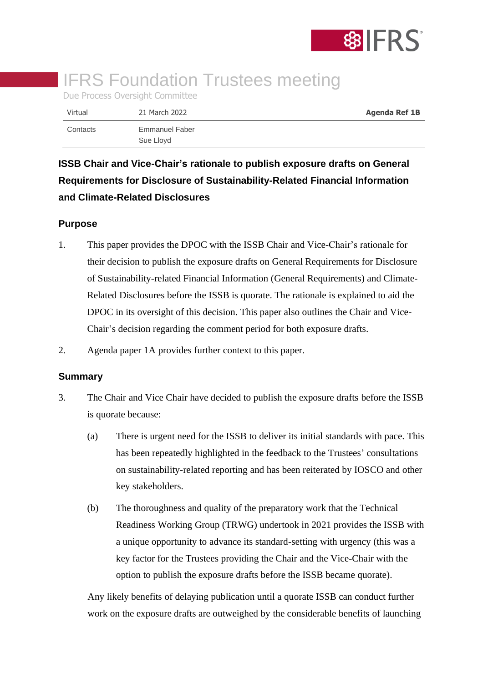

# **IFRS Foundation Trustees meeting**

Due Process Oversight Committee

| Virtual  | 21 March 2022               | <b>Agenda Ref 1B</b> |
|----------|-----------------------------|----------------------|
| Contacts | Emmanuel Faber<br>Sue Lloyd |                      |

**ISSB Chair and Vice-Chair's rationale to publish exposure drafts on General Requirements for Disclosure of Sustainability-Related Financial Information and Climate-Related Disclosures**

# **Purpose**

- 1. This paper provides the DPOC with the ISSB Chair and Vice-Chair's rationale for their decision to publish the exposure drafts on General Requirements for Disclosure of Sustainability-related Financial Information (General Requirements) and Climate-Related Disclosures before the ISSB is quorate. The rationale is explained to aid the DPOC in its oversight of this decision. This paper also outlines the Chair and Vice-Chair's decision regarding the comment period for both exposure drafts.
- 2. Agenda paper 1A provides further context to this paper.

## **Summary**

- 3. The Chair and Vice Chair have decided to publish the exposure drafts before the ISSB is quorate because:
	- (a) There is urgent need for the ISSB to deliver its initial standards with pace. This has been repeatedly highlighted in the feedback to the Trustees' consultations on sustainability-related reporting and has been reiterated by IOSCO and other key stakeholders.
	- (b) The thoroughness and quality of the preparatory work that the Technical Readiness Working Group (TRWG) undertook in 2021 provides the ISSB with a unique opportunity to advance its standard-setting with urgency (this was a key factor for the Trustees providing the Chair and the Vice-Chair with the option to publish the exposure drafts before the ISSB became quorate).

Any likely benefits of delaying publication until a quorate ISSB can conduct further work on the exposure drafts are outweighed by the considerable benefits of launching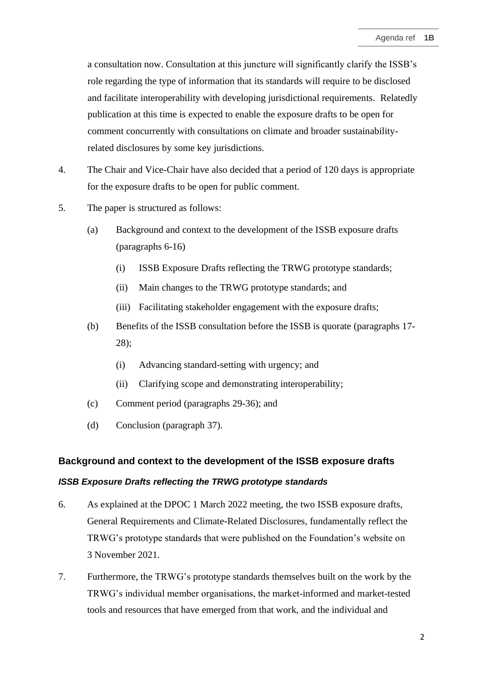a consultation now. Consultation at this juncture will significantly clarify the ISSB's role regarding the type of information that its standards will require to be disclosed and facilitate interoperability with developing jurisdictional requirements. Relatedly publication at this time is expected to enable the exposure drafts to be open for comment concurrently with consultations on climate and broader sustainabilityrelated disclosures by some key jurisdictions.

- 4. The Chair and Vice-Chair have also decided that a period of 120 days is appropriate for the exposure drafts to be open for public comment.
- 5. The paper is structured as follows:
	- (a) Background and context to the development of the ISSB exposure drafts (paragraphs 6-16)
		- (i) ISSB Exposure Drafts reflecting the TRWG prototype standards;
		- (ii) Main changes to the TRWG prototype standards; and
		- (iii) Facilitating stakeholder engagement with the exposure drafts;
	- (b) Benefits of the ISSB consultation before the ISSB is quorate (paragraphs 17- 28);
		- (i) Advancing standard-setting with urgency; and
		- (ii) Clarifying scope and demonstrating interoperability;
	- (c) Comment period (paragraphs 29-36); and
	- (d) Conclusion (paragraph 37).

#### **Background and context to the development of the ISSB exposure drafts**

## *ISSB Exposure Drafts reflecting the TRWG prototype standards*

- 6. As explained at the DPOC 1 March 2022 meeting, the two ISSB exposure drafts, General Requirements and Climate-Related Disclosures, fundamentally reflect the TRWG's prototype standards that were published on the Foundation's website on 3 November 2021.
- 7. Furthermore, the TRWG's prototype standards themselves built on the work by the TRWG's individual member organisations, the market-informed and market-tested tools and resources that have emerged from that work, and the individual and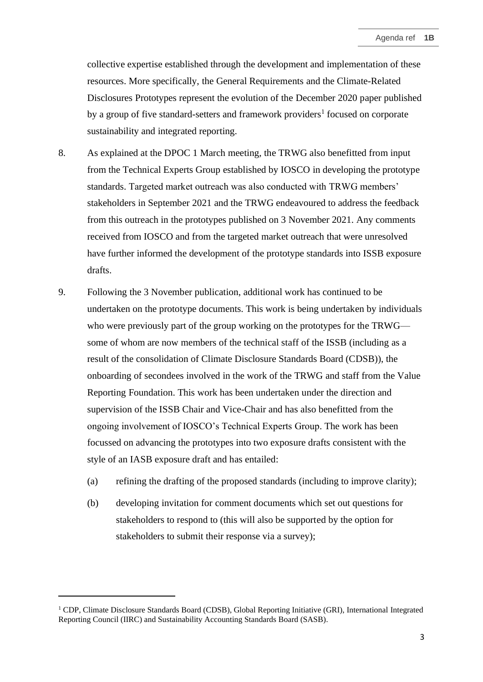collective expertise established through the development and implementation of these resources. More specifically, the General Requirements and the Climate-Related Disclosures Prototypes represent the evolution of the December 2020 paper published by a group of five standard-setters and framework providers<sup>1</sup> focused on corporate sustainability and integrated reporting.

- 8. As explained at the DPOC 1 March meeting, the TRWG also benefitted from input from the Technical Experts Group established by IOSCO in developing the prototype standards. Targeted market outreach was also conducted with TRWG members' stakeholders in September 2021 and the TRWG endeavoured to address the feedback from this outreach in the prototypes published on 3 November 2021. Any comments received from IOSCO and from the targeted market outreach that were unresolved have further informed the development of the prototype standards into ISSB exposure drafts.
- 9. Following the 3 November publication, additional work has continued to be undertaken on the prototype documents. This work is being undertaken by individuals who were previously part of the group working on the prototypes for the TRWG some of whom are now members of the technical staff of the ISSB (including as a result of the consolidation of Climate Disclosure Standards Board (CDSB)), the onboarding of secondees involved in the work of the TRWG and staff from the Value Reporting Foundation. This work has been undertaken under the direction and supervision of the ISSB Chair and Vice-Chair and has also benefitted from the ongoing involvement of IOSCO's Technical Experts Group. The work has been focussed on advancing the prototypes into two exposure drafts consistent with the style of an IASB exposure draft and has entailed:
	- (a) refining the drafting of the proposed standards (including to improve clarity);
	- (b) developing invitation for comment documents which set out questions for stakeholders to respond to (this will also be supported by the option for stakeholders to submit their response via a survey);

<sup>1</sup> CDP, Climate Disclosure Standards Board (CDSB), Global Reporting Initiative (GRI), International Integrated Reporting Council (IIRC) and Sustainability Accounting Standards Board (SASB).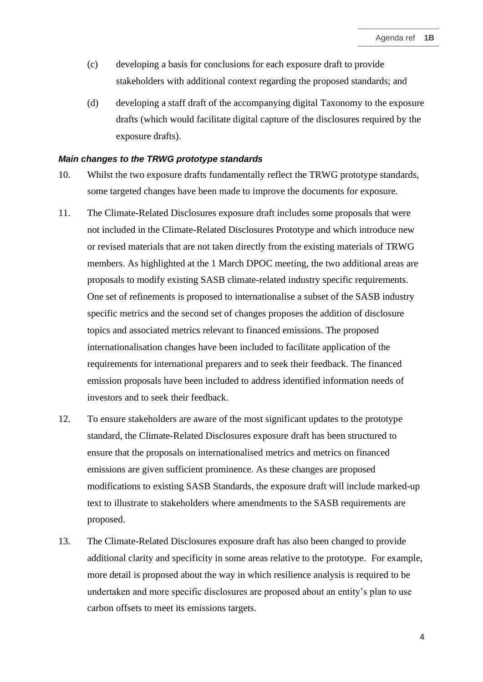- (c) developing a basis for conclusions for each exposure draft to provide stakeholders with additional context regarding the proposed standards; and
- (d) developing a staff draft of the accompanying digital Taxonomy to the exposure drafts (which would facilitate digital capture of the disclosures required by the exposure drafts).

#### *Main changes to the TRWG prototype standards*

- 10. Whilst the two exposure drafts fundamentally reflect the TRWG prototype standards, some targeted changes have been made to improve the documents for exposure.
- 11. The Climate-Related Disclosures exposure draft includes some proposals that were not included in the Climate-Related Disclosures Prototype and which introduce new or revised materials that are not taken directly from the existing materials of TRWG members. As highlighted at the 1 March DPOC meeting, the two additional areas are proposals to modify existing SASB climate-related industry specific requirements. One set of refinements is proposed to internationalise a subset of the SASB industry specific metrics and the second set of changes proposes the addition of disclosure topics and associated metrics relevant to financed emissions. The proposed internationalisation changes have been included to facilitate application of the requirements for international preparers and to seek their feedback. The financed emission proposals have been included to address identified information needs of investors and to seek their feedback.
- 12. To ensure stakeholders are aware of the most significant updates to the prototype standard, the Climate-Related Disclosures exposure draft has been structured to ensure that the proposals on internationalised metrics and metrics on financed emissions are given sufficient prominence. As these changes are proposed modifications to existing SASB Standards, the exposure draft will include marked-up text to illustrate to stakeholders where amendments to the SASB requirements are proposed.
- 13. The Climate-Related Disclosures exposure draft has also been changed to provide additional clarity and specificity in some areas relative to the prototype. For example, more detail is proposed about the way in which resilience analysis is required to be undertaken and more specific disclosures are proposed about an entity's plan to use carbon offsets to meet its emissions targets.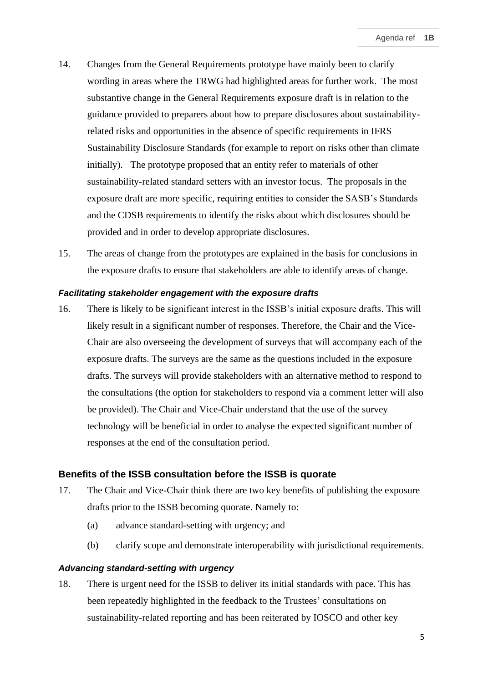- 14. Changes from the General Requirements prototype have mainly been to clarify wording in areas where the TRWG had highlighted areas for further work. The most substantive change in the General Requirements exposure draft is in relation to the guidance provided to preparers about how to prepare disclosures about sustainabilityrelated risks and opportunities in the absence of specific requirements in IFRS Sustainability Disclosure Standards (for example to report on risks other than climate initially). The prototype proposed that an entity refer to materials of other sustainability-related standard setters with an investor focus. The proposals in the exposure draft are more specific, requiring entities to consider the SASB's Standards and the CDSB requirements to identify the risks about which disclosures should be provided and in order to develop appropriate disclosures.
- 15. The areas of change from the prototypes are explained in the basis for conclusions in the exposure drafts to ensure that stakeholders are able to identify areas of change.

#### *Facilitating stakeholder engagement with the exposure drafts*

16. There is likely to be significant interest in the ISSB's initial exposure drafts. This will likely result in a significant number of responses. Therefore, the Chair and the Vice-Chair are also overseeing the development of surveys that will accompany each of the exposure drafts. The surveys are the same as the questions included in the exposure drafts. The surveys will provide stakeholders with an alternative method to respond to the consultations (the option for stakeholders to respond via a comment letter will also be provided). The Chair and Vice-Chair understand that the use of the survey technology will be beneficial in order to analyse the expected significant number of responses at the end of the consultation period.

## **Benefits of the ISSB consultation before the ISSB is quorate**

- 17. The Chair and Vice-Chair think there are two key benefits of publishing the exposure drafts prior to the ISSB becoming quorate. Namely to:
	- (a) advance standard-setting with urgency; and
	- (b) clarify scope and demonstrate interoperability with jurisdictional requirements.

## *Advancing standard-setting with urgency*

18. There is urgent need for the ISSB to deliver its initial standards with pace. This has been repeatedly highlighted in the feedback to the Trustees' consultations on sustainability-related reporting and has been reiterated by IOSCO and other key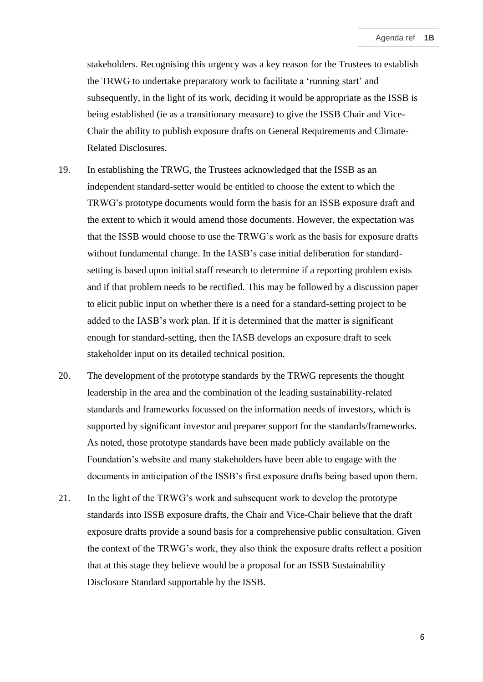stakeholders. Recognising this urgency was a key reason for the Trustees to establish the TRWG to undertake preparatory work to facilitate a 'running start' and subsequently, in the light of its work, deciding it would be appropriate as the ISSB is being established (ie as a transitionary measure) to give the ISSB Chair and Vice-Chair the ability to publish exposure drafts on General Requirements and Climate-Related Disclosures.

- 19. In establishing the TRWG, the Trustees acknowledged that the ISSB as an independent standard-setter would be entitled to choose the extent to which the TRWG's prototype documents would form the basis for an ISSB exposure draft and the extent to which it would amend those documents. However, the expectation was that the ISSB would choose to use the TRWG's work as the basis for exposure drafts without fundamental change. In the IASB's case initial deliberation for standardsetting is based upon initial staff research to determine if a reporting problem exists and if that problem needs to be rectified. This may be followed by a discussion paper to elicit public input on whether there is a need for a standard-setting project to be added to the IASB's work plan. If it is determined that the matter is significant enough for standard-setting, then the IASB develops an exposure draft to seek stakeholder input on its detailed technical position.
- 20. The development of the prototype standards by the TRWG represents the thought leadership in the area and the combination of the leading sustainability-related standards and frameworks focussed on the information needs of investors, which is supported by significant investor and preparer support for the standards/frameworks. As noted, those prototype standards have been made publicly available on the Foundation's website and many stakeholders have been able to engage with the documents in anticipation of the ISSB's first exposure drafts being based upon them.
- 21. In the light of the TRWG's work and subsequent work to develop the prototype standards into ISSB exposure drafts, the Chair and Vice-Chair believe that the draft exposure drafts provide a sound basis for a comprehensive public consultation. Given the context of the TRWG's work, they also think the exposure drafts reflect a position that at this stage they believe would be a proposal for an ISSB Sustainability Disclosure Standard supportable by the ISSB.

6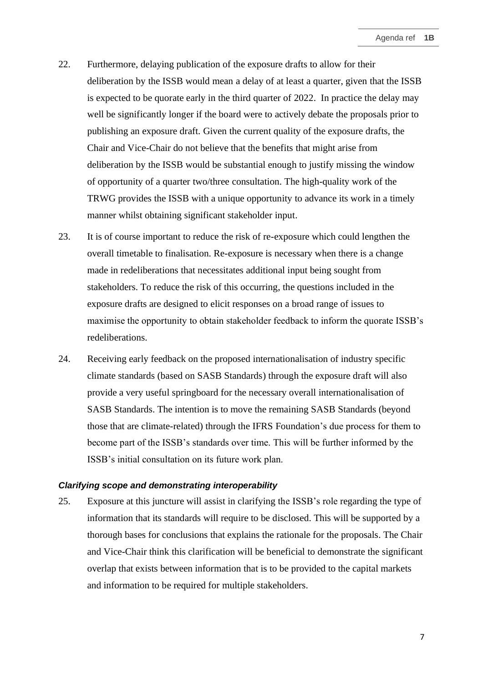- 22. Furthermore, delaying publication of the exposure drafts to allow for their deliberation by the ISSB would mean a delay of at least a quarter, given that the ISSB is expected to be quorate early in the third quarter of 2022. In practice the delay may well be significantly longer if the board were to actively debate the proposals prior to publishing an exposure draft. Given the current quality of the exposure drafts, the Chair and Vice-Chair do not believe that the benefits that might arise from deliberation by the ISSB would be substantial enough to justify missing the window of opportunity of a quarter two/three consultation. The high-quality work of the TRWG provides the ISSB with a unique opportunity to advance its work in a timely manner whilst obtaining significant stakeholder input.
- 23. It is of course important to reduce the risk of re-exposure which could lengthen the overall timetable to finalisation. Re-exposure is necessary when there is a change made in redeliberations that necessitates additional input being sought from stakeholders. To reduce the risk of this occurring, the questions included in the exposure drafts are designed to elicit responses on a broad range of issues to maximise the opportunity to obtain stakeholder feedback to inform the quorate ISSB's redeliberations.
- 24. Receiving early feedback on the proposed internationalisation of industry specific climate standards (based on SASB Standards) through the exposure draft will also provide a very useful springboard for the necessary overall internationalisation of SASB Standards. The intention is to move the remaining SASB Standards (beyond those that are climate-related) through the IFRS Foundation's due process for them to become part of the ISSB's standards over time. This will be further informed by the ISSB's initial consultation on its future work plan.

## *Clarifying scope and demonstrating interoperability*

25. Exposure at this juncture will assist in clarifying the ISSB's role regarding the type of information that its standards will require to be disclosed. This will be supported by a thorough bases for conclusions that explains the rationale for the proposals. The Chair and Vice-Chair think this clarification will be beneficial to demonstrate the significant overlap that exists between information that is to be provided to the capital markets and information to be required for multiple stakeholders.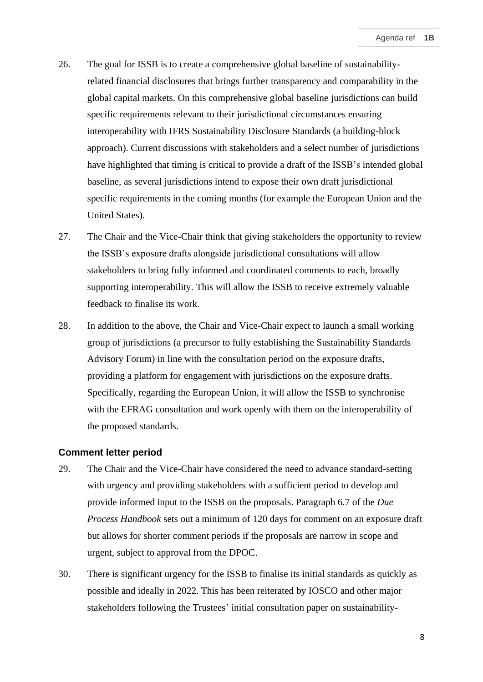- 26. The goal for ISSB is to create a comprehensive global baseline of sustainabilityrelated financial disclosures that brings further transparency and comparability in the global capital markets. On this comprehensive global baseline jurisdictions can build specific requirements relevant to their jurisdictional circumstances ensuring interoperability with IFRS Sustainability Disclosure Standards (a building-block approach). Current discussions with stakeholders and a select number of jurisdictions have highlighted that timing is critical to provide a draft of the ISSB's intended global baseline, as several jurisdictions intend to expose their own draft jurisdictional specific requirements in the coming months (for example the European Union and the United States).
- 27. The Chair and the Vice-Chair think that giving stakeholders the opportunity to review the ISSB's exposure drafts alongside jurisdictional consultations will allow stakeholders to bring fully informed and coordinated comments to each, broadly supporting interoperability. This will allow the ISSB to receive extremely valuable feedback to finalise its work.
- 28. In addition to the above, the Chair and Vice-Chair expect to launch a small working group of jurisdictions (a precursor to fully establishing the Sustainability Standards Advisory Forum) in line with the consultation period on the exposure drafts, providing a platform for engagement with jurisdictions on the exposure drafts. Specifically, regarding the European Union, it will allow the ISSB to synchronise with the EFRAG consultation and work openly with them on the interoperability of the proposed standards.

#### **Comment letter period**

- 29. The Chair and the Vice-Chair have considered the need to advance standard-setting with urgency and providing stakeholders with a sufficient period to develop and provide informed input to the ISSB on the proposals. Paragraph 6.7 of the *Due Process Handbook* sets out a minimum of 120 days for comment on an exposure draft but allows for shorter comment periods if the proposals are narrow in scope and urgent, subject to approval from the DPOC.
- 30. There is significant urgency for the ISSB to finalise its initial standards as quickly as possible and ideally in 2022. This has been reiterated by IOSCO and other major stakeholders following the Trustees' initial consultation paper on sustainability-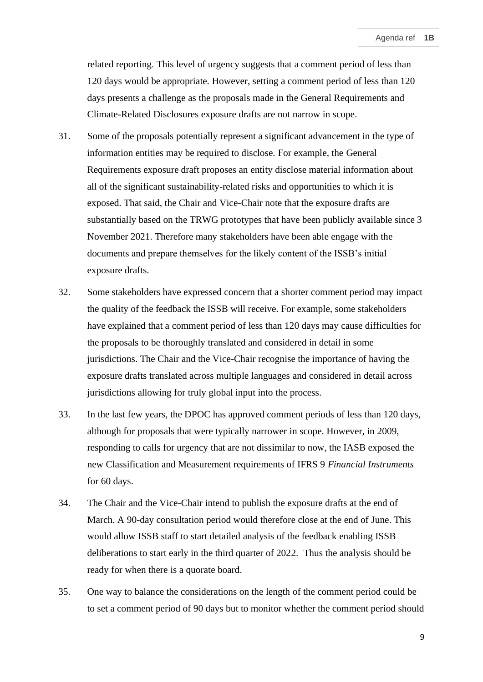related reporting. This level of urgency suggests that a comment period of less than 120 days would be appropriate. However, setting a comment period of less than 120 days presents a challenge as the proposals made in the General Requirements and Climate-Related Disclosures exposure drafts are not narrow in scope.

- 31. Some of the proposals potentially represent a significant advancement in the type of information entities may be required to disclose. For example, the General Requirements exposure draft proposes an entity disclose material information about all of the significant sustainability-related risks and opportunities to which it is exposed. That said, the Chair and Vice-Chair note that the exposure drafts are substantially based on the TRWG prototypes that have been publicly available since 3 November 2021. Therefore many stakeholders have been able engage with the documents and prepare themselves for the likely content of the ISSB's initial exposure drafts.
- 32. Some stakeholders have expressed concern that a shorter comment period may impact the quality of the feedback the ISSB will receive. For example, some stakeholders have explained that a comment period of less than 120 days may cause difficulties for the proposals to be thoroughly translated and considered in detail in some jurisdictions. The Chair and the Vice-Chair recognise the importance of having the exposure drafts translated across multiple languages and considered in detail across jurisdictions allowing for truly global input into the process.
- 33. In the last few years, the DPOC has approved comment periods of less than 120 days, although for proposals that were typically narrower in scope. However, in 2009, responding to calls for urgency that are not dissimilar to now, the IASB exposed the new Classification and Measurement requirements of IFRS 9 *Financial Instruments* for 60 days.
- 34. The Chair and the Vice-Chair intend to publish the exposure drafts at the end of March. A 90-day consultation period would therefore close at the end of June. This would allow ISSB staff to start detailed analysis of the feedback enabling ISSB deliberations to start early in the third quarter of 2022. Thus the analysis should be ready for when there is a quorate board.
- 35. One way to balance the considerations on the length of the comment period could be to set a comment period of 90 days but to monitor whether the comment period should